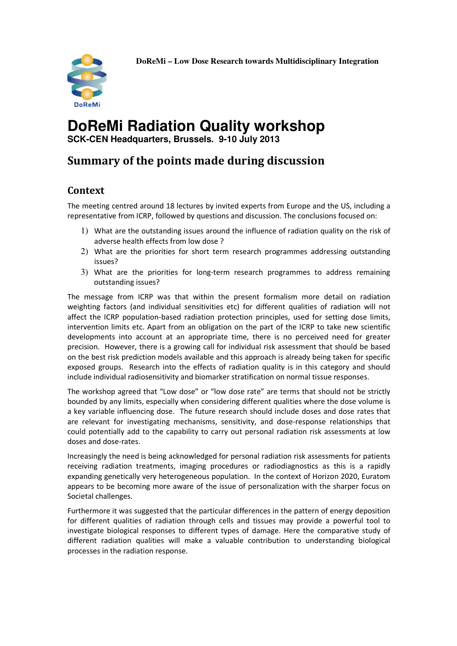

# **DoReMi Radiation Quality workshop**

**SCK-CEN Headquarters, Brussels. 9-10 July 2013** 

## Summary of the points made during discussion

### **Context**

The meeting centred around 18 lectures by invited experts from Europe and the US, including a representative from ICRP, followed by questions and discussion. The conclusions focused on:

- 1) What are the outstanding issues around the influence of radiation quality on the risk of adverse health effects from low dose ?
- 2) What are the priorities for short term research programmes addressing outstanding issues?
- 3) What are the priorities for long-term research programmes to address remaining outstanding issues?

The message from ICRP was that within the present formalism more detail on radiation weighting factors (and individual sensitivities etc) for different qualities of radiation will not affect the ICRP population-based radiation protection principles, used for setting dose limits, intervention limits etc. Apart from an obligation on the part of the ICRP to take new scientific developments into account at an appropriate time, there is no perceived need for greater precision. However, there is a growing call for individual risk assessment that should be based on the best risk prediction models available and this approach is already being taken for specific exposed groups. Research into the effects of radiation quality is in this category and should include individual radiosensitivity and biomarker stratification on normal tissue responses.

The workshop agreed that "Low dose" or "low dose rate" are terms that should not be strictly bounded by any limits, especially when considering different qualities where the dose volume is a key variable influencing dose. The future research should include doses and dose rates that are relevant for investigating mechanisms, sensitivity, and dose-response relationships that could potentially add to the capability to carry out personal radiation risk assessments at low doses and dose-rates.

Increasingly the need is being acknowledged for personal radiation risk assessments for patients receiving radiation treatments, imaging procedures or radiodiagnostics as this is a rapidly expanding genetically very heterogeneous population. In the context of Horizon 2020, Euratom appears to be becoming more aware of the issue of personalization with the sharper focus on Societal challenges.

Furthermore it was suggested that the particular differences in the pattern of energy deposition for different qualities of radiation through cells and tissues may provide a powerful tool to investigate biological responses to different types of damage. Here the comparative study of different radiation qualities will make a valuable contribution to understanding biological processes in the radiation response.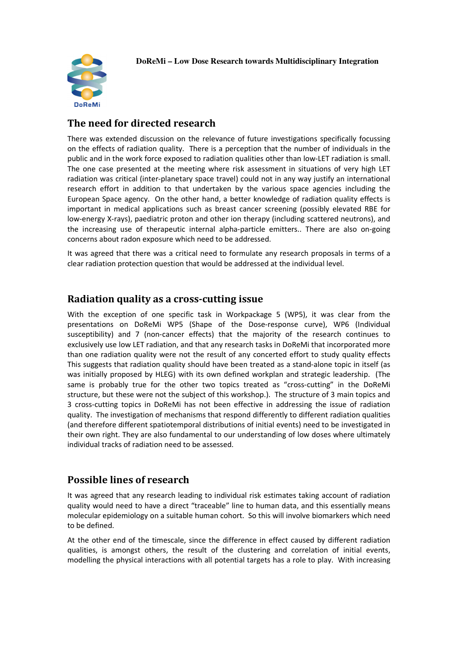

#### The need for directed research

There was extended discussion on the relevance of future investigations specifically focussing on the effects of radiation quality. There is a perception that the number of individuals in the public and in the work force exposed to radiation qualities other than low-LET radiation is small. The one case presented at the meeting where risk assessment in situations of very high LET radiation was critical (inter-planetary space travel) could not in any way justify an international research effort in addition to that undertaken by the various space agencies including the European Space agency. On the other hand, a better knowledge of radiation quality effects is important in medical applications such as breast cancer screening (possibly elevated RBE for low-energy X-rays), paediatric proton and other ion therapy (including scattered neutrons), and the increasing use of therapeutic internal alpha-particle emitters.. There are also on-going concerns about radon exposure which need to be addressed.

It was agreed that there was a critical need to formulate any research proposals in terms of a clear radiation protection question that would be addressed at the individual level.

#### Radiation quality as a cross-cutting issue

With the exception of one specific task in Workpackage 5 (WP5), it was clear from the presentations on DoReMi WP5 (Shape of the Dose-response curve), WP6 (Individual susceptibility) and 7 (non-cancer effects) that the majority of the research continues to exclusively use low LET radiation, and that any research tasks in DoReMi that incorporated more than one radiation quality were not the result of any concerted effort to study quality effects This suggests that radiation quality should have been treated as a stand-alone topic in itself (as was initially proposed by HLEG) with its own defined workplan and strategic leadership. (The same is probably true for the other two topics treated as "cross-cutting" in the DoReMi structure, but these were not the subject of this workshop.). The structure of 3 main topics and 3 cross-cutting topics in DoReMi has not been effective in addressing the issue of radiation quality. The investigation of mechanisms that respond differently to different radiation qualities (and therefore different spatiotemporal distributions of initial events) need to be investigated in their own right. They are also fundamental to our understanding of low doses where ultimately individual tracks of radiation need to be assessed.

#### Possible lines of research

It was agreed that any research leading to individual risk estimates taking account of radiation quality would need to have a direct "traceable" line to human data, and this essentially means molecular epidemiology on a suitable human cohort. So this will involve biomarkers which need to be defined.

At the other end of the timescale, since the difference in effect caused by different radiation qualities, is amongst others, the result of the clustering and correlation of initial events, modelling the physical interactions with all potential targets has a role to play. With increasing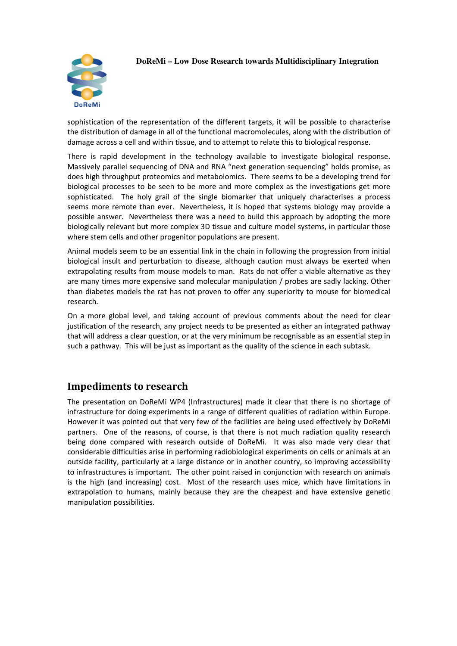#### **DoReMi – Low Dose Research towards Multidisciplinary Integration**



sophistication of the representation of the different targets, it will be possible to characterise the distribution of damage in all of the functional macromolecules, along with the distribution of damage across a cell and within tissue, and to attempt to relate this to biological response.

There is rapid development in the technology available to investigate biological response. Massively parallel sequencing of DNA and RNA "next generation sequencing" holds promise, as does high throughput proteomics and metabolomics. There seems to be a developing trend for biological processes to be seen to be more and more complex as the investigations get more sophisticated. The holy grail of the single biomarker that uniquely characterises a process seems more remote than ever. Nevertheless, it is hoped that systems biology may provide a possible answer. Nevertheless there was a need to build this approach by adopting the more biologically relevant but more complex 3D tissue and culture model systems, in particular those where stem cells and other progenitor populations are present.

Animal models seem to be an essential link in the chain in following the progression from initial biological insult and perturbation to disease, although caution must always be exerted when extrapolating results from mouse models to man. Rats do not offer a viable alternative as they are many times more expensive sand molecular manipulation / probes are sadly lacking. Other than diabetes models the rat has not proven to offer any superiority to mouse for biomedical research.

On a more global level, and taking account of previous comments about the need for clear justification of the research, any project needs to be presented as either an integrated pathway that will address a clear question, or at the very minimum be recognisable as an essential step in such a pathway. This will be just as important as the quality of the science in each subtask.

#### Impediments to research

The presentation on DoReMi WP4 (Infrastructures) made it clear that there is no shortage of infrastructure for doing experiments in a range of different qualities of radiation within Europe. However it was pointed out that very few of the facilities are being used effectively by DoReMi partners. One of the reasons, of course, is that there is not much radiation quality research being done compared with research outside of DoReMi. It was also made very clear that considerable difficulties arise in performing radiobiological experiments on cells or animals at an outside facility, particularly at a large distance or in another country, so improving accessibility to infrastructures is important. The other point raised in conjunction with research on animals is the high (and increasing) cost. Most of the research uses mice, which have limitations in extrapolation to humans, mainly because they are the cheapest and have extensive genetic manipulation possibilities.